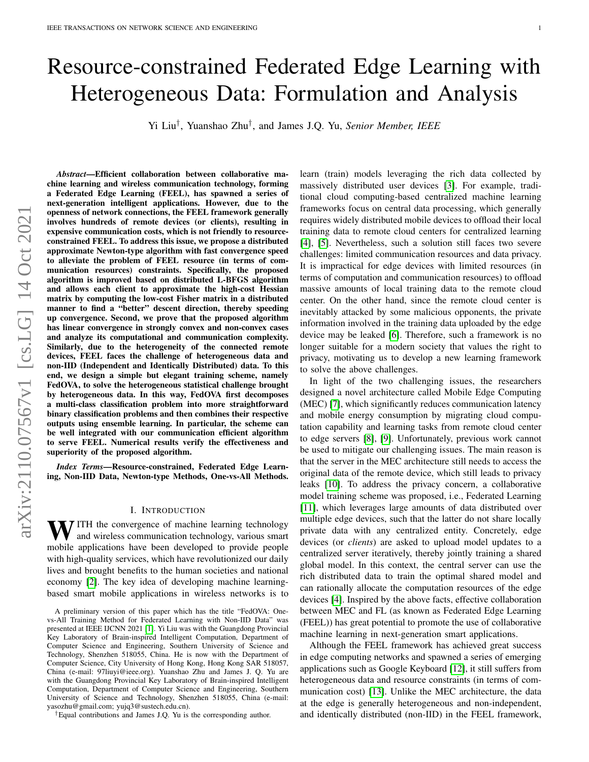# Resource-constrained Federated Edge Learning with Heterogeneous Data: Formulation and Analysis

Yi Liu<sup>†</sup>, Yuanshao Zhu<sup>†</sup>, and James J.Q. Yu, *Senior Member, IEEE* 

*Abstract*—Efficient collaboration between collaborative machine learning and wireless communication technology, forming a Federated Edge Learning (FEEL), has spawned a series of next-generation intelligent applications. However, due to the openness of network connections, the FEEL framework generally involves hundreds of remote devices (or clients), resulting in expensive communication costs, which is not friendly to resourceconstrained FEEL. To address this issue, we propose a distributed approximate Newton-type algorithm with fast convergence speed to alleviate the problem of FEEL resource (in terms of communication resources) constraints. Specifically, the proposed algorithm is improved based on distributed L-BFGS algorithm and allows each client to approximate the high-cost Hessian matrix by computing the low-cost Fisher matrix in a distributed manner to find a "better" descent direction, thereby speeding up convergence. Second, we prove that the proposed algorithm has linear convergence in strongly convex and non-convex cases and analyze its computational and communication complexity. Similarly, due to the heterogeneity of the connected remote devices, FEEL faces the challenge of heterogeneous data and non-IID (Independent and Identically Distributed) data. To this end, we design a simple but elegant training scheme, namely FedOVA, to solve the heterogeneous statistical challenge brought by heterogeneous data. In this way, FedOVA first decomposes a multi-class classification problem into more straightforward binary classification problems and then combines their respective outputs using ensemble learning. In particular, the scheme can be well integrated with our communication efficient algorithm to serve FEEL. Numerical results verify the effectiveness and superiority of the proposed algorithm.

*Index Terms*—Resource-constrained, Federated Edge Learning, Non-IID Data, Newton-type Methods, One-vs-All Methods.

#### I. INTRODUCTION

WITH the convergence of machine learning technology and wireless communication technology, various smart mobile applications have been developed to provide people with high-quality services, which have revolutionized our daily lives and brought benefits to the human societies and national economy [\[2\]](#page-10-0). The key idea of developing machine learningbased smart mobile applications in wireless networks is to

A preliminary version of this paper which has the title "FedOVA: Onevs-All Training Method for Federated Learning with Non-IID Data" was presented at IEEE IJCNN 2021 [\[1\]](#page-10-1). Yi Liu was with the Guangdong Provincial Key Laboratory of Brain-inspired Intelligent Computation, Department of Computer Science and Engineering, Southern University of Science and Technology, Shenzhen 518055, China. He is now with the Department of Computer Science, City University of Hong Kong, Hong Kong SAR 518057, China (e-mail: 97liuyi@ieee.org). Yuanshao Zhu and James J. Q. Yu are with the Guangdong Provincial Key Laboratory of Brain-inspired Intelligent Computation, Department of Computer Science and Engineering, Southern University of Science and Technology, Shenzhen 518055, China (e-mail: yasozhu@gmail.com; yujq3@sustech.edu.cn).

†Equal contributions and James J.Q. Yu is the corresponding author.

learn (train) models leveraging the rich data collected by massively distributed user devices [\[3\]](#page-10-2). For example, traditional cloud computing-based centralized machine learning frameworks focus on central data processing, which generally requires widely distributed mobile devices to offload their local training data to remote cloud centers for centralized learning [\[4\]](#page-10-3), [\[5\]](#page-10-4). Nevertheless, such a solution still faces two severe challenges: limited communication resources and data privacy. It is impractical for edge devices with limited resources (in terms of computation and communication resources) to offload massive amounts of local training data to the remote cloud center. On the other hand, since the remote cloud center is inevitably attacked by some malicious opponents, the private information involved in the training data uploaded by the edge device may be leaked [\[6\]](#page-10-5). Therefore, such a framework is no longer suitable for a modern society that values the right to privacy, motivating us to develop a new learning framework to solve the above challenges.

In light of the two challenging issues, the researchers designed a novel architecture called Mobile Edge Computing (MEC) [\[7\]](#page-10-6), which significantly reduces communication latency and mobile energy consumption by migrating cloud computation capability and learning tasks from remote cloud center to edge servers [\[8\]](#page-10-7), [\[9\]](#page-10-8). Unfortunately, previous work cannot be used to mitigate our challenging issues. The main reason is that the server in the MEC architecture still needs to access the original data of the remote device, which still leads to privacy leaks [\[10\]](#page-10-9). To address the privacy concern, a collaborative model training scheme was proposed, i.e., Federated Learning [\[11\]](#page-10-10), which leverages large amounts of data distributed over multiple edge devices, such that the latter do not share locally private data with any centralized entity. Concretely, edge devices (or *clients*) are asked to upload model updates to a centralized server iteratively, thereby jointly training a shared global model. In this context, the central server can use the rich distributed data to train the optimal shared model and can rationally allocate the computation resources of the edge devices [\[4\]](#page-10-3). Inspired by the above facts, effective collaboration between MEC and FL (as known as Federated Edge Learning (FEEL)) has great potential to promote the use of collaborative machine learning in next-generation smart applications.

Although the FEEL framework has achieved great success in edge computing networks and spawned a series of emerging applications such as Google Keyboard [\[12\]](#page-10-11), it still suffers from heterogeneous data and resource constraints (in terms of communication cost) [\[13\]](#page-10-12). Unlike the MEC architecture, the data at the edge is generally heterogeneous and non-independent, and identically distributed (non-IID) in the FEEL framework,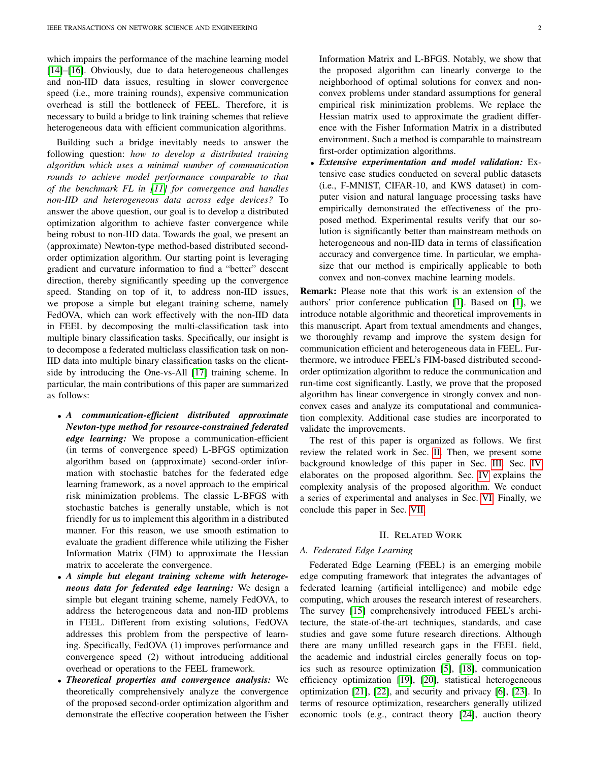which impairs the performance of the machine learning model [\[14\]](#page-10-13)–[\[16\]](#page-10-14). Obviously, due to data heterogeneous challenges and non-IID data issues, resulting in slower convergence speed (i.e., more training rounds), expensive communication overhead is still the bottleneck of FEEL. Therefore, it is necessary to build a bridge to link training schemes that relieve heterogeneous data with efficient communication algorithms.

Building such a bridge inevitably needs to answer the following question: *how to develop a distributed training algorithm which uses a minimal number of communication rounds to achieve model performance comparable to that of the benchmark FL in [\[11\]](#page-10-10) for convergence and handles non-IID and heterogeneous data across edge devices?* To answer the above question, our goal is to develop a distributed optimization algorithm to achieve faster convergence while being robust to non-IID data. Towards the goal, we present an (approximate) Newton-type method-based distributed secondorder optimization algorithm. Our starting point is leveraging gradient and curvature information to find a "better" descent direction, thereby significantly speeding up the convergence speed. Standing on top of it, to address non-IID issues, we propose a simple but elegant training scheme, namely FedOVA, which can work effectively with the non-IID data in FEEL by decomposing the multi-classification task into multiple binary classification tasks. Specifically, our insight is to decompose a federated multiclass classification task on non-IID data into multiple binary classification tasks on the clientside by introducing the One-vs-All [\[17\]](#page-10-15) training scheme. In particular, the main contributions of this paper are summarized as follows:

- *A communication-efficient distributed approximate Newton-type method for resource-constrained federated edge learning:* We propose a communication-efficient (in terms of convergence speed) L-BFGS optimization algorithm based on (approximate) second-order information with stochastic batches for the federated edge learning framework, as a novel approach to the empirical risk minimization problems. The classic L-BFGS with stochastic batches is generally unstable, which is not friendly for us to implement this algorithm in a distributed manner. For this reason, we use smooth estimation to evaluate the gradient difference while utilizing the Fisher Information Matrix (FIM) to approximate the Hessian matrix to accelerate the convergence.
- *A simple but elegant training scheme with heterogeneous data for federated edge learning:* We design a simple but elegant training scheme, namely FedOVA, to address the heterogeneous data and non-IID problems in FEEL. Different from existing solutions, FedOVA addresses this problem from the perspective of learning. Specifically, FedOVA (1) improves performance and convergence speed (2) without introducing additional overhead or operations to the FEEL framework.
- *Theoretical properties and convergence analysis:* We theoretically comprehensively analyze the convergence of the proposed second-order optimization algorithm and demonstrate the effective cooperation between the Fisher

Information Matrix and L-BFGS. Notably, we show that the proposed algorithm can linearly converge to the neighborhood of optimal solutions for convex and nonconvex problems under standard assumptions for general empirical risk minimization problems. We replace the Hessian matrix used to approximate the gradient difference with the Fisher Information Matrix in a distributed environment. Such a method is comparable to mainstream first-order optimization algorithms.

• *Extensive experimentation and model validation:* Extensive case studies conducted on several public datasets (i.e., F-MNIST, CIFAR-10, and KWS dataset) in computer vision and natural language processing tasks have empirically demonstrated the effectiveness of the proposed method. Experimental results verify that our solution is significantly better than mainstream methods on heterogeneous and non-IID data in terms of classification accuracy and convergence time. In particular, we emphasize that our method is empirically applicable to both convex and non-convex machine learning models.

Remark: Please note that this work is an extension of the authors' prior conference publication [\[1\]](#page-10-1). Based on [\[1\]](#page-10-1), we introduce notable algorithmic and theoretical improvements in this manuscript. Apart from textual amendments and changes, we thoroughly revamp and improve the system design for communication efficient and heterogeneous data in FEEL. Furthermore, we introduce FEEL's FIM-based distributed secondorder optimization algorithm to reduce the communication and run-time cost significantly. Lastly, we prove that the proposed algorithm has linear convergence in strongly convex and nonconvex cases and analyze its computational and communication complexity. Additional case studies are incorporated to validate the improvements.

The rest of this paper is organized as follows. We first review the related work in Sec. [II.](#page-1-0) Then, we present some background knowledge of this paper in Sec. [III.](#page-2-0) Sec. [IV](#page-3-0) elaborates on the proposed algorithm. Sec. [IV](#page-3-0) explains the complexity analysis of the proposed algorithm. We conduct a series of experimental and analyses in Sec. [VI.](#page-7-0) Finally, we conclude this paper in Sec. [VII.](#page-10-16)

## II. RELATED WORK

# <span id="page-1-0"></span>*A. Federated Edge Learning*

Federated Edge Learning (FEEL) is an emerging mobile edge computing framework that integrates the advantages of federated learning (artificial intelligence) and mobile edge computing, which arouses the research interest of researchers. The survey [\[15\]](#page-10-17) comprehensively introduced FEEL's architecture, the state-of-the-art techniques, standards, and case studies and gave some future research directions. Although there are many unfilled research gaps in the FEEL field, the academic and industrial circles generally focus on topics such as resource optimization [\[5\]](#page-10-4), [\[18\]](#page-10-18), communication efficiency optimization [\[19\]](#page-10-19), [\[20\]](#page-10-20), statistical heterogeneous optimization [\[21\]](#page-10-21), [\[22\]](#page-10-22), and security and privacy [\[6\]](#page-10-5), [\[23\]](#page-10-23). In terms of resource optimization, researchers generally utilized economic tools (e.g., contract theory [\[24\]](#page-10-24), auction theory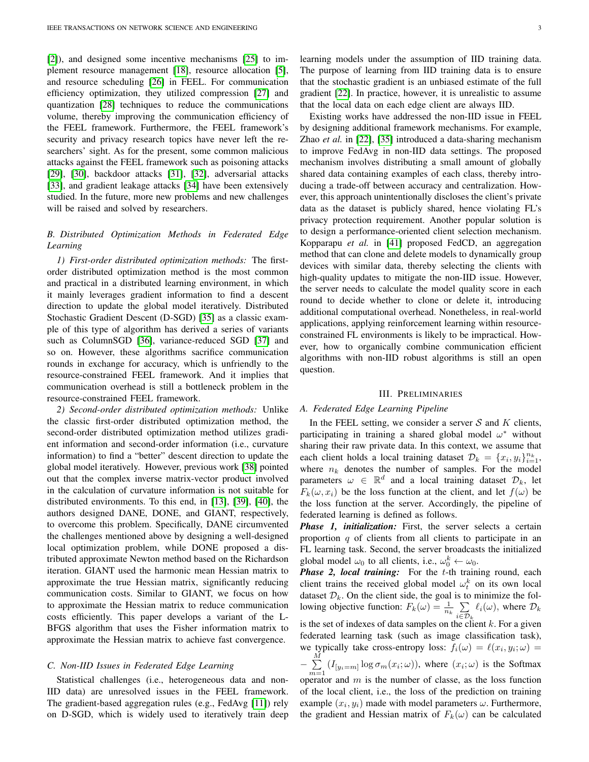[\[2\]](#page-10-0)), and designed some incentive mechanisms [\[25\]](#page-10-25) to implement resource management [\[18\]](#page-10-18), resource allocation [\[5\]](#page-10-4), and resource scheduling [\[26\]](#page-10-26) in FEEL. For communication efficiency optimization, they utilized compression [\[27\]](#page-11-0) and quantization [\[28\]](#page-11-1) techniques to reduce the communications volume, thereby improving the communication efficiency of the FEEL framework. Furthermore, the FEEL framework's security and privacy research topics have never left the researchers' sight. As for the present, some common malicious attacks against the FEEL framework such as poisoning attacks [\[29\]](#page-11-2), [\[30\]](#page-11-3), backdoor attacks [\[31\]](#page-11-4), [\[32\]](#page-11-5), adversarial attacks [\[33\]](#page-11-6), and gradient leakage attacks [\[34\]](#page-11-7) have been extensively studied. In the future, more new problems and new challenges will be raised and solved by researchers.

# *B. Distributed Optimization Methods in Federated Edge Learning*

*1) First-order distributed optimization methods:* The firstorder distributed optimization method is the most common and practical in a distributed learning environment, in which it mainly leverages gradient information to find a descent direction to update the global model iteratively. Distributed Stochastic Gradient Descent (D-SGD) [\[35\]](#page-11-8) as a classic example of this type of algorithm has derived a series of variants such as ColumnSGD [\[36\]](#page-11-9), variance-reduced SGD [\[37\]](#page-11-10) and so on. However, these algorithms sacrifice communication rounds in exchange for accuracy, which is unfriendly to the resource-constrained FEEL framework. And it implies that communication overhead is still a bottleneck problem in the resource-constrained FEEL framework.

*2) Second-order distributed optimization methods:* Unlike the classic first-order distributed optimization method, the second-order distributed optimization method utilizes gradient information and second-order information (i.e., curvature information) to find a "better" descent direction to update the global model iteratively. However, previous work [\[38\]](#page-11-11) pointed out that the complex inverse matrix-vector product involved in the calculation of curvature information is not suitable for distributed environments. To this end, in [\[13\]](#page-10-12), [\[39\]](#page-11-12), [\[40\]](#page-11-13), the authors designed DANE, DONE, and GIANT, respectively, to overcome this problem. Specifically, DANE circumvented the challenges mentioned above by designing a well-designed local optimization problem, while DONE proposed a distributed approximate Newton method based on the Richardson iteration. GIANT used the harmonic mean Hessian matrix to approximate the true Hessian matrix, significantly reducing communication costs. Similar to GIANT, we focus on how to approximate the Hessian matrix to reduce communication costs efficiently. This paper develops a variant of the L-BFGS algorithm that uses the Fisher information matrix to approximate the Hessian matrix to achieve fast convergence.

## *C. Non-IID Issues in Federated Edge Learning*

Statistical challenges (i.e., heterogeneous data and non-IID data) are unresolved issues in the FEEL framework. The gradient-based aggregation rules (e.g., FedAvg [\[11\]](#page-10-10)) rely on D-SGD, which is widely used to iteratively train deep learning models under the assumption of IID training data. The purpose of learning from IID training data is to ensure that the stochastic gradient is an unbiased estimate of the full gradient [\[22\]](#page-10-22). In practice, however, it is unrealistic to assume that the local data on each edge client are always IID.

Existing works have addressed the non-IID issue in FEEL by designing additional framework mechanisms. For example, Zhao *et al.* in [\[22\]](#page-10-22), [\[35\]](#page-11-8) introduced a data-sharing mechanism to improve FedAvg in non-IID data settings. The proposed mechanism involves distributing a small amount of globally shared data containing examples of each class, thereby introducing a trade-off between accuracy and centralization. However, this approach unintentionally discloses the client's private data as the dataset is publicly shared, hence violating FL's privacy protection requirement. Another popular solution is to design a performance-oriented client selection mechanism. Kopparapu *et al.* in [\[41\]](#page-11-14) proposed FedCD, an aggregation method that can clone and delete models to dynamically group devices with similar data, thereby selecting the clients with high-quality updates to mitigate the non-IID issue. However, the server needs to calculate the model quality score in each round to decide whether to clone or delete it, introducing additional computational overhead. Nonetheless, in real-world applications, applying reinforcement learning within resourceconstrained FL environments is likely to be impractical. However, how to organically combine communication efficient algorithms with non-IID robust algorithms is still an open question.

## III. PRELIMINARIES

#### <span id="page-2-0"></span>*A. Federated Edge Learning Pipeline*

In the FEEL setting, we consider a server  $S$  and  $K$  clients, participating in training a shared global model  $\omega^*$  without sharing their raw private data. In this context, we assume that each client holds a local training dataset  $\mathcal{D}_k = \{x_i, y_i\}_{i=1}^{n_k}$ , where  $n_k$  denotes the number of samples. For the model parameters  $\omega \in \mathbb{R}^d$  and a local training dataset  $\mathcal{D}_k$ , let  $F_k(\omega, x_i)$  be the loss function at the client, and let  $f(\omega)$  be the loss function at the server. Accordingly, the pipeline of federated learning is defined as follows.

*Phase 1, initialization:* First, the server selects a certain proportion  $q$  of clients from all clients to participate in an FL learning task. Second, the server broadcasts the initialized global model  $\omega_0$  to all clients, i.e.,  $\omega_0^k \leftarrow \omega_0$ .

Phase 2, local training: For the t-th training round, each client trains the received global model  $\omega_t^k$  on its own local dataset  $\mathcal{D}_k$ . On the client side, the goal is to minimize the following objective function:  $F_k(\omega) = \frac{1}{n_k} \sum_{n=1}^{\infty}$  $i \in \mathcal{D}_k$  $\ell_i(\omega)$ , where  $\mathcal{D}_k$ is the set of indexes of data samples on the client  $k$ . For a given federated learning task (such as image classification task), we typically take cross-entropy loss:  $f_i(\omega) = \ell(x_i, y_i; \omega)$  $-\sum_{i=1}^{M}$  $\sum_{m=1}$   $(I_{[y_i=m]} \log \sigma_m(x_i; \omega))$ , where  $(x_i; \omega)$  is the Softmax operator and  $m$  is the number of classe, as the loss function of the local client, i.e., the loss of the prediction on training example  $(x_i, y_i)$  made with model parameters  $\omega$ . Furthermore, the gradient and Hessian matrix of  $F_k(\omega)$  can be calculated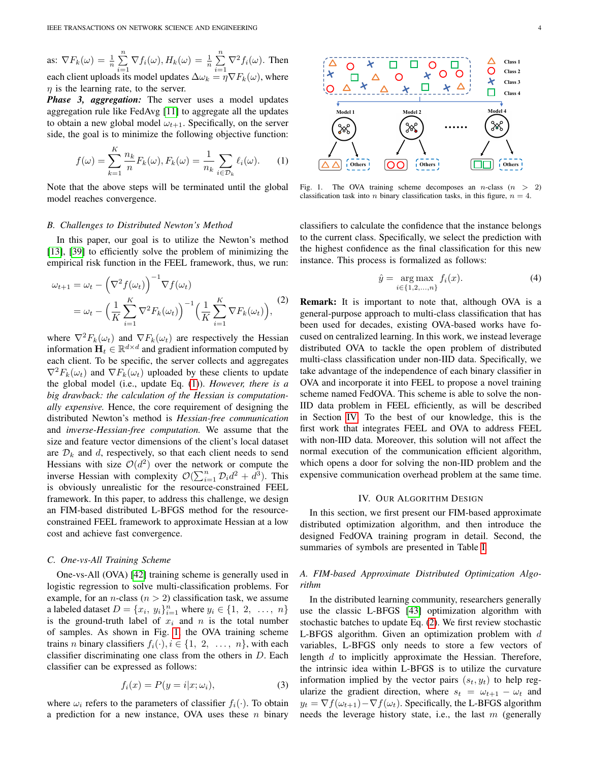as:  $\nabla F_k(\omega) = \frac{1}{n} \sum_{n=1}^n$  $\sum_{i=1}^n \nabla f_i(\omega), H_k(\omega) = \frac{1}{n} \sum_{i=1}^n$  $\sum_{i=1} \nabla^2 f_i(\omega)$ . Then each client uploads its model updates  $\Delta \omega_k = \eta \nabla F_k(\omega)$ , where  $\eta$  is the learning rate, to the server.

*Phase 3, aggregation:* The server uses a model updates aggregation rule like FedAvg [\[11\]](#page-10-10) to aggregate all the updates to obtain a new global model  $\omega_{t+1}$ . Specifically, on the server side, the goal is to minimize the following objective function:

<span id="page-3-1"></span>
$$
f(\omega) = \sum_{k=1}^{K} \frac{n_k}{n} F_k(\omega), F_k(\omega) = \frac{1}{n_k} \sum_{i \in \mathcal{D}_k} \ell_i(\omega). \tag{1}
$$

Note that the above steps will be terminated until the global model reaches convergence.

## *B. Challenges to Distributed Newton's Method*

In this paper, our goal is to utilize the Newton's method [\[13\]](#page-10-12), [\[39\]](#page-11-12) to efficiently solve the problem of minimizing the empirical risk function in the FEEL framework, thus, we run:

<span id="page-3-3"></span>
$$
\omega_{t+1} = \omega_t - \left(\nabla^2 f(\omega_t)\right)^{-1} \nabla f(\omega_t)
$$
  
= 
$$
\omega_t - \left(\frac{1}{K} \sum_{i=1}^K \nabla^2 F_k(\omega_t)\right)^{-1} \left(\frac{1}{K} \sum_{i=1}^K \nabla F_k(\omega_t)\right),
$$
 (2)

where  $\nabla^2 F_k(\omega_t)$  and  $\nabla F_k(\omega_t)$  are respectively the Hessian information  $\mathbf{H}_t \in \mathbb{R}^{d \times d}$  and gradient information computed by each client. To be specific, the server collects and aggregates  $\nabla^2 F_k(\omega_t)$  and  $\nabla F_k(\omega_t)$  uploaded by these clients to update the global model (i.e., update Eq. [\(1\)](#page-3-1)). *However, there is a big drawback: the calculation of the Hessian is computationally expensive.* Hence, the core requirement of designing the distributed Newton's method is *Hessian-free communication* and *inverse-Hessian-free computation.* We assume that the size and feature vector dimensions of the client's local dataset are  $\mathcal{D}_k$  and d, respectively, so that each client needs to send Hessians with size  $\mathcal{O}(d^2)$  over the network or compute the inverse Hessian with complexity  $\mathcal{O}(\sum_{i=1}^n \mathcal{D}_i d^2 + \overline{d}^3)$ . This is obviously unrealistic for the resource-constrained FEEL framework. In this paper, to address this challenge, we design an FIM-based distributed L-BFGS method for the resourceconstrained FEEL framework to approximate Hessian at a low cost and achieve fast convergence.

#### *C. One-vs-All Training Scheme*

One-vs-All (OVA) [\[42\]](#page-11-15) training scheme is generally used in logistic regression to solve multi-classification problems. For example, for an *n*-class ( $n > 2$ ) classification task, we assume a labeled dataset  $D = \{x_i, y_i\}_{i=1}^n$  where  $y_i \in \{1, 2, ..., n\}$ is the ground-truth label of  $x_i$  and n is the total number of samples. As shown in Fig. [1,](#page-3-2) the OVA training scheme trains *n* binary classifiers  $f_i(\cdot), i \in \{1, 2, ..., n\}$ , with each classifier discriminating one class from the others in  $D$ . Each classifier can be expressed as follows:

$$
f_i(x) = P(y = i|x; \omega_i), \tag{3}
$$

where  $\omega_i$  refers to the parameters of classifier  $f_i(\cdot)$ . To obtain a prediction for a new instance, OVA uses these  $n$  binary



<span id="page-3-2"></span>Fig. 1. The OVA training scheme decomposes an *n*-class  $(n >$ classification task into *n* binary classification tasks, in this figure,  $n = 4$ .

classifiers to calculate the confidence that the instance belongs to the current class. Specifically, we select the prediction with the highest confidence as the final classification for this new instance. This process is formalized as follows:

$$
\hat{y} = \underset{i \in \{1, 2, ..., n\}}{\arg \max} f_i(x). \tag{4}
$$

Remark: It is important to note that, although OVA is a general-purpose approach to multi-class classification that has been used for decades, existing OVA-based works have focused on centralized learning. In this work, we instead leverage distributed OVA to tackle the open problem of distributed multi-class classification under non-IID data. Specifically, we take advantage of the independence of each binary classifier in OVA and incorporate it into FEEL to propose a novel training scheme named FedOVA. This scheme is able to solve the non-IID data problem in FEEL efficiently, as will be described in Section [IV.](#page-3-0) To the best of our knowledge, this is the first work that integrates FEEL and OVA to address FEEL with non-IID data. Moreover, this solution will not affect the normal execution of the communication efficient algorithm, which opens a door for solving the non-IID problem and the expensive communication overhead problem at the same time.

## IV. OUR ALGORITHM DESIGN

<span id="page-3-0"></span>In this section, we first present our FIM-based approximate distributed optimization algorithm, and then introduce the designed FedOVA training program in detail. Second, the summaries of symbols are presented in Table [I.](#page-4-0)

## *A. FIM-based Approximate Distributed Optimization Algorithm*

In the distributed learning community, researchers generally use the classic L-BFGS [\[43\]](#page-11-16) optimization algorithm with stochastic batches to update Eq. [\(2\)](#page-3-3). We first review stochastic L-BFGS algorithm. Given an optimization problem with  $d$ variables, L-BFGS only needs to store a few vectors of length d to implicitly approximate the Hessian. Therefore, the intrinsic idea within L-BFGS is to utilize the curvature information implied by the vector pairs  $(s_t, y_t)$  to help regularize the gradient direction, where  $s_t = \omega_{t+1} - \omega_t$  and  $y_t = \nabla f(\omega_{t+1}) - \nabla f(\omega_t)$ . Specifically, the L-BFGS algorithm needs the leverage history state, i.e., the last  $m$  (generally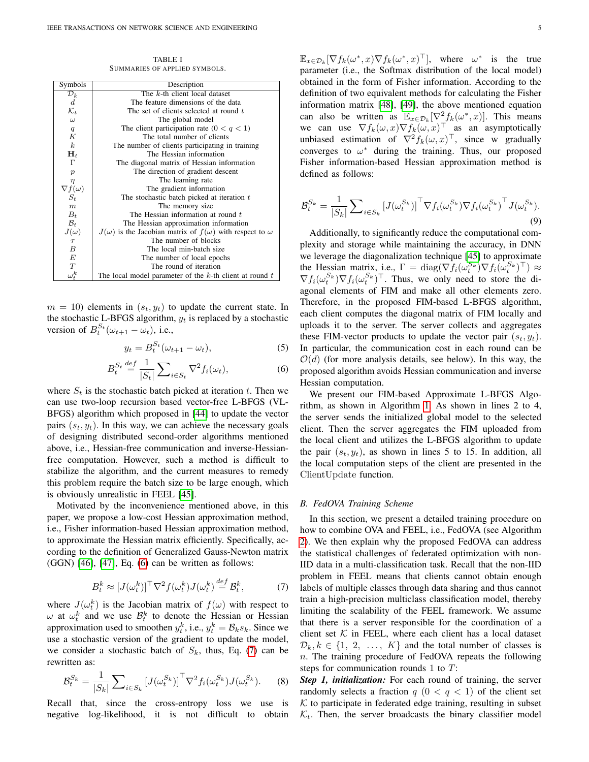TABLE I SUMMARIES OF APPLIED SYMBOLS.

<span id="page-4-0"></span>

| Symbols                         | Description                                                                |
|---------------------------------|----------------------------------------------------------------------------|
| $\mathcal{D}_k$                 | The k-th client local dataset                                              |
| $\boldsymbol{d}$                | The feature dimensions of the data                                         |
| $\mathcal{K}_t$                 | The set of clients selected at round t                                     |
| $\omega$                        | The global model                                                           |
| $\boldsymbol{q}$                | The client participation rate $(0 < q < 1)$                                |
| K                               | The total number of clients                                                |
| $\boldsymbol{k}$                | The number of clients participating in training                            |
| $\mathbf{H}_t$                  | The Hessian information                                                    |
| Г                               | The diagonal matrix of Hessian information                                 |
| $\boldsymbol{p}$                | The direction of gradient descent                                          |
| $\eta$                          | The learning rate                                                          |
| $\nabla f(\omega)$              | The gradient information                                                   |
| $S_t$                           | The stochastic batch picked at iteration $t$                               |
| $\boldsymbol{m}$                | The memory size                                                            |
| $B_t$                           | The Hessian information at round $t$                                       |
| $\mathcal{B}_t$                 | The Hessian approximation information                                      |
| $J(\omega)$<br>$\frac{\tau}{B}$ | $J(\omega)$ is the Jacobian matrix of $f(\omega)$ with respect to $\omega$ |
|                                 | The number of blocks                                                       |
|                                 | The local min-batch size                                                   |
| $\cal E$                        | The number of local epochs                                                 |
| $\cal T$                        | The round of iteration                                                     |
| $\omega_t^k$                    | The local model parameter of the $k$ -th client at round $t$               |

 $m = 10$ ) elements in  $(s_t, y_t)$  to update the current state. In the stochastic L-BFGS algorithm,  $y_t$  is replaced by a stochastic version of  $B_t^{S_t}(\omega_{t+1} - \omega_t)$ , i.e.,

$$
y_t = B_t^{S_t}(\omega_{t+1} - \omega_t), \tag{5}
$$

<span id="page-4-1"></span>
$$
B_t^{S_t} \stackrel{\text{def}}{=} \frac{1}{|S_t|} \sum_{i \in S_t} \nabla^2 f_i(\omega_t), \tag{6}
$$

where  $S_t$  is the stochastic batch picked at iteration t. Then we can use two-loop recursion based vector-free L-BFGS (VL-BFGS) algorithm which proposed in [\[44\]](#page-11-17) to update the vector pairs  $(s_t, y_t)$ . In this way, we can achieve the necessary goals of designing distributed second-order algorithms mentioned above, i.e., Hessian-free communication and inverse-Hessianfree computation. However, such a method is difficult to stabilize the algorithm, and the current measures to remedy this problem require the batch size to be large enough, which is obviously unrealistic in FEEL [\[45\]](#page-11-18).

Motivated by the inconvenience mentioned above, in this paper, we propose a low-cost Hessian approximation method, i.e., Fisher information-based Hessian approximation method, to approximate the Hessian matrix efficiently. Specifically, according to the definition of Generalized Gauss-Newton matrix  $(GGN)$  [\[46\]](#page-11-19), [\[47\]](#page-11-20), Eq.  $(6)$  can be written as follows:

<span id="page-4-2"></span>
$$
B_t^k \approx [J(\omega_t^k)]^\top \nabla^2 f(\omega_t^k) J(\omega_t^k) \stackrel{def}{=} \mathcal{B}_t^k,\tag{7}
$$

where  $J(\omega_t^k)$  is the Jacobian matrix of  $f(\omega)$  with respect to  $\omega$  at  $\omega_t^k$  and we use  $\mathcal{B}_t^k$  to denote the Hessian or Hessian approximation used to smoothen  $y_t^k$ , i.e.,  $y_t^k = \mathcal{B}_k s_k$ . Since we use a stochastic version of the gradient to update the model, we consider a stochastic batch of  $S_k$ , thus, Eq. [\(7\)](#page-4-2) can be rewritten as:

<span id="page-4-3"></span>
$$
\mathcal{B}_t^{S_k} = \frac{1}{|S_k|} \sum_{i \in S_k} \left[ J(\omega_t^{S_k}) \right]^\top \nabla^2 f_i(\omega_t^{S_k}) J(\omega_t^{S_k}). \tag{8}
$$

Recall that, since the cross-entropy loss we use is negative log-likelihood, it is not difficult to obtain

 $\mathbb{E}_{x \in \mathcal{D}_k} [\nabla f_k(\omega^*, x) \nabla f_k(\omega^*, x)^\top], \text{ where } \omega^* \text{ is the true}$ parameter (i.e., the Softmax distribution of the local model) obtained in the form of Fisher information. According to the definition of two equivalent methods for calculating the Fisher information matrix [\[48\]](#page-11-21), [\[49\]](#page-11-22), the above mentioned equation can also be written as  $\mathbb{E}_{x \in \mathcal{D}_k}[\nabla^2 f_k(\omega^*, x)]$ . This means we can use  $\nabla f_k(\omega, x) \nabla f_k(\omega, x)^\top$  as an asymptotically unbiased estimation of  $\nabla^2 f_k(\omega, x)^\top$ , since w gradually converges to  $\omega^*$  during the training. Thus, our proposed Fisher information-based Hessian approximation method is defined as follows:

$$
\mathcal{B}_t^{S_k} = \frac{1}{|S_k|} \sum_{i \in S_k} \left[ J(\omega_t^{S_k}) \right]^\top \nabla f_i(\omega_t^{S_k}) \nabla f_i(\omega_t^{S_k})^\top J(\omega_t^{S_k}).
$$
\n(9)

Additionally, to significantly reduce the computational complexity and storage while maintaining the accuracy, in DNN we leverage the diagonalization technique [\[45\]](#page-11-18) to approximate the Hessian matrix, i.e.,  $\Gamma = \text{diag}(\nabla f_i(\omega_i^{S_k}) \nabla f_i(\omega_i^{S_k})^\top) \approx$  $\nabla f_i(\omega_t^{S_k}) \nabla f_i(\omega_t^{S_k})^\top$ . Thus, we only need to store the diagonal elements of FIM and make all other elements zero. Therefore, in the proposed FIM-based L-BFGS algorithm, each client computes the diagonal matrix of FIM locally and uploads it to the server. The server collects and aggregates these FIM-vector products to update the vector pair  $(s_t, y_t)$ . In particular, the communication cost in each round can be  $O(d)$  (for more analysis details, see below). In this way, the proposed algorithm avoids Hessian communication and inverse Hessian computation.

We present our FIM-based Approximate L-BFGS Algorithm, as shown in Algorithm [1.](#page-5-0) As shown in lines 2 to 4, the server sends the initialized global model to the selected client. Then the server aggregates the FIM uploaded from the local client and utilizes the L-BFGS algorithm to update the pair  $(s_t, y_t)$ , as shown in lines 5 to 15. In addition, all the local computation steps of the client are presented in the ClientUpdate function.

## *B. FedOVA Training Scheme*

In this section, we present a detailed training procedure on how to combine OVA and FEEL, i.e., FedOVA (see Algorithm [2\)](#page-5-1). We then explain why the proposed FedOVA can address the statistical challenges of federated optimization with non-IID data in a multi-classification task. Recall that the non-IID problem in FEEL means that clients cannot obtain enough labels of multiple classes through data sharing and thus cannot train a high-precision multiclass classification model, thereby limiting the scalability of the FEEL framework. We assume that there is a server responsible for the coordination of a client set  $K$  in FEEL, where each client has a local dataset  $\mathcal{D}_k, k \in \{1, 2, ..., K\}$  and the total number of classes is  $n$ . The training procedure of FedOVA repeats the following steps for communication rounds 1 to T:

*Step 1, initialization:* For each round of training, the server randomly selects a fraction  $q$   $(0 < q < 1)$  of the client set  $K$  to participate in federated edge training, resulting in subset  $\mathcal{K}_t$ . Then, the server broadcasts the binary classifier model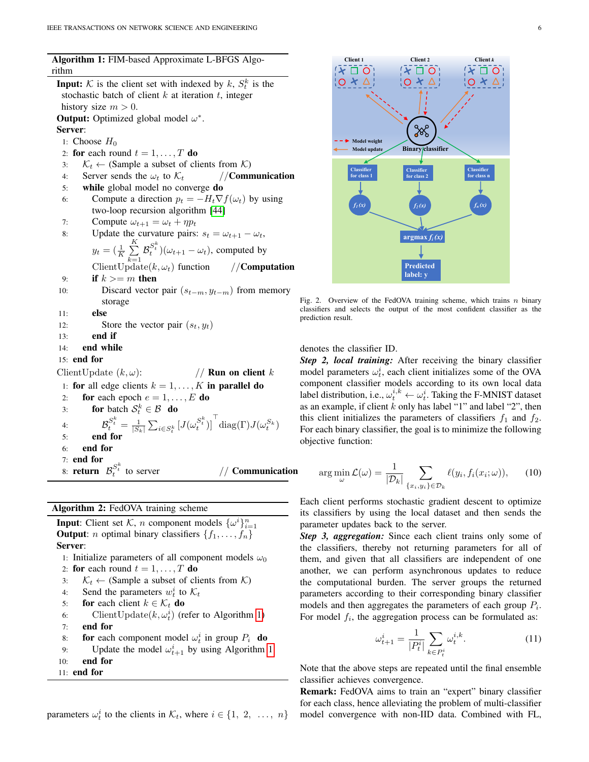Algorithm 1: FIM-based Approximate L-BFGS Algorithm

<span id="page-5-0"></span>**Input:** K is the client set with indexed by  $k$ ,  $S_t^k$  is the stochastic batch of client  $k$  at iteration  $t$ , integer history size  $m > 0$ . **Output:** Optimized global model  $\omega^*$ . Server: 1: Choose  $H_0$ 2: for each round  $t = 1, \ldots, T$  do 3:  $\mathcal{K}_t \leftarrow$  (Sample a subset of clients from  $\mathcal{K}$ )<br>4: Server sends the  $\omega_t$  to  $\mathcal{K}_t$  //**Communication** 4: Server sends the  $\omega_t$  to  $\mathcal{K}_t$ 5: while global model no converge do 6: Compute a direction  $p_t = -H_t \nabla f(\omega_t)$  by using two-loop recursion algorithm [\[44\]](#page-11-17) 7: Compute  $\omega_{t+1} = \omega_t + \eta p_t$ 8: Update the curvature pairs:  $s_t = \omega_{t+1} - \omega_t$ ,  $y_t = \left(\frac{1}{K} \sum_{i=1}^{K} \right)$  $k=1$  $\mathcal{B}^{S_t^k}_t$   $)(\omega_{t+1} - \omega_t)$ , computed by ClientUpdate $(k, \omega_t)$  function //**Computation** 9: if  $k \geq m$  then 10: Discard vector pair  $(s_{t-m}, y_{t-m})$  from memory storage 11: else 12: Store the vector pair  $(s_t, y_t)$  $13:$  end if 14: end while 15: end for ClientUpdate  $(k, \omega)$ : // **Run on client** k 1: for all edge clients  $k = 1, \ldots, K$  in parallel do 2: for each epoch  $e = 1, \ldots, E$  do 3: for batch  $S_t^k \in \mathcal{B}$  do 4:  $\mathcal{B}_{t}^{S_{t}^{k}} = \frac{1}{|S_{k}|} \sum_{i \in S_{t}^{k}} \left[ J(\omega_{t}^{S_{t}^{k}}) \right]^{T} \text{diag}(\Gamma) J(\omega_{t}^{S_{k}})$ 5: end for 6: end for 7: end for 8: **return**  $\mathcal{B}_t^{S_t^k}$  $//$  Communication

# Algorithm 2: FedOVA training scheme

<span id="page-5-1"></span>**Input:** Client set  $\mathcal{K}$ , *n* component models  $\{\omega^i\}_{i=1}^n$ **Output:** *n* optimal binary classifiers  $\{f_1, \ldots, f_n\}$ Server:

- 1: Initialize parameters of all component models  $\omega_0$ 2: for each round  $t = 1, \ldots, T$  do
- 3:  $\mathcal{K}_t \leftarrow$  (Sample a subset of clients from  $\mathcal{K}$ )
- 4: Send the parameters  $w_t^i$  to  $\mathcal{K}_t$
- 5: for each client  $k \in \mathcal{K}_t$  do
- 6: Client Update $(k, \omega_t^i)$  (refer to Algorithm [1\)](#page-5-0)
- 7: end for
- 8: **for** each component model  $\omega_t^i$  in group  $P_i$  **do**
- 9: Update the model  $\omega_{t+1}^i$  by using Algorithm [1](#page-5-0)
- 10: end for
- 11: end for





Fig. 2. Overview of the FedOVA training scheme, which trains  $n$  binary classifiers and selects the output of the most confident classifier as the prediction result.

# denotes the classifier ID.

*Step 2, local training:* After receiving the binary classifier model parameters  $\omega_t^i$ , each client initializes some of the OVA component classifier models according to its own local data label distribution, i.e.,  $\omega_t^{i,k} \leftarrow \omega_t^i$ . Taking the F-MNIST dataset as an example, if client  $k$  only has label "1" and label "2", then this client initializes the parameters of classifiers  $f_1$  and  $f_2$ . For each binary classifier, the goal is to minimize the following objective function:

$$
\arg\min_{\omega} \mathcal{L}(\omega) = \frac{1}{|\mathcal{D}_k|} \sum_{\{x_i, y_i\} \in \mathcal{D}_k} \ell(y_i, f_i(x_i; \omega)), \qquad (10)
$$

Each client performs stochastic gradient descent to optimize its classifiers by using the local dataset and then sends the parameter updates back to the server.

*Step 3, aggregation:* Since each client trains only some of the classifiers, thereby not returning parameters for all of them, and given that all classifiers are independent of one another, we can perform asynchronous updates to reduce the computational burden. The server groups the returned parameters according to their corresponding binary classifier models and then aggregates the parameters of each group  $P_i$ . For model  $f_i$ , the aggregation process can be formulated as:

$$
\omega_{t+1}^i = \frac{1}{|P_t^i|} \sum_{k \in P_t^i} \omega_t^{i,k}.
$$
 (11)

Note that the above steps are repeated until the final ensemble classifier achieves convergence.

Remark: FedOVA aims to train an "expert" binary classifier for each class, hence alleviating the problem of multi-classifier model convergence with non-IID data. Combined with FL,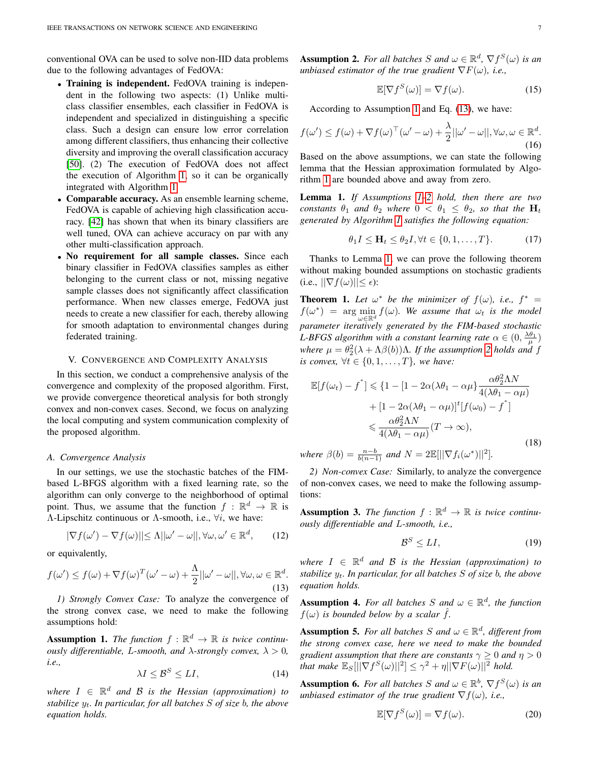conventional OVA can be used to solve non-IID data problems due to the following advantages of FedOVA:

- Training is independent. FedOVA training is independent in the following two aspects: (1) Unlike multiclass classifier ensembles, each classifier in FedOVA is independent and specialized in distinguishing a specific class. Such a design can ensure low error correlation among different classifiers, thus enhancing their collective diversity and improving the overall classification accuracy [\[50\]](#page-11-23). (2) The execution of FedOVA does not affect the execution of Algorithm [1,](#page-5-0) so it can be organically integrated with Algorithm [1.](#page-5-0)
- Comparable accuracy. As an ensemble learning scheme, FedOVA is capable of achieving high classification accuracy. [\[42\]](#page-11-15) has shown that when its binary classifiers are well tuned, OVA can achieve accuracy on par with any other multi-classification approach.
- No requirement for all sample classes. Since each binary classifier in FedOVA classifies samples as either belonging to the current class or not, missing negative sample classes does not significantly affect classification performance. When new classes emerge, FedOVA just needs to create a new classifier for each, thereby allowing for smooth adaptation to environmental changes during federated training.

#### V. CONVERGENCE AND COMPLEXITY ANALYSIS

In this section, we conduct a comprehensive analysis of the convergence and complexity of the proposed algorithm. First, we provide convergence theoretical analysis for both strongly convex and non-convex cases. Second, we focus on analyzing the local computing and system communication complexity of the proposed algorithm.

#### *A. Convergence Analysis*

In our settings, we use the stochastic batches of the FIMbased L-BFGS algorithm with a fixed learning rate, so the algorithm can only converge to the neighborhood of optimal point. Thus, we assume that the function  $f : \mathbb{R}^d \to \mathbb{R}$  is Λ-Lipschitz continuous or Λ-smooth, i.e.,  $\forall i$ , we have:

$$
|\nabla f(\omega') - \nabla f(\omega)| \le \Lambda ||\omega' - \omega||, \forall \omega, \omega' \in \mathbb{R}^d, \qquad (12)
$$

or equivalently,

<span id="page-6-1"></span>
$$
f(\omega') \le f(\omega) + \nabla f(\omega)^T (\omega' - \omega) + \frac{\Lambda}{2} ||\omega' - \omega||, \forall \omega, \omega \in \mathbb{R}^d.
$$
\n(13)

*1) Strongly Convex Case:* To analyze the convergence of the strong convex case, we need to make the following assumptions hold:

<span id="page-6-0"></span>**Assumption 1.** The function  $f : \mathbb{R}^d \to \mathbb{R}$  is twice continu*ously differentiable, L-smooth, and*  $\lambda$ *-strongly convex,*  $\lambda > 0$ *, i.e.,*

$$
\lambda I \le \mathcal{B}^S \le LI,\tag{14}
$$

 $where I \in \mathbb{R}^d$  *and*  $B$  *is the Hessian (approximation) to stabilize* yt*. In particular, for all batches* S *of size* b*, the above equation holds.*

<span id="page-6-2"></span>**Assumption 2.** For all batches S and  $\omega \in \mathbb{R}^d$ ,  $\nabla f^S(\omega)$  is an *unbiased estimator of the true gradient*  $\nabla F(\omega)$ *, i.e.,* 

$$
\mathbb{E}[\nabla f^S(\omega)] = \nabla f(\omega). \tag{15}
$$

According to Assumption [1](#page-6-0) and Eq. [\(13\)](#page-6-1), we have:

$$
f(\omega') \le f(\omega) + \nabla f(\omega)^{\top}(\omega' - \omega) + \frac{\lambda}{2} ||\omega' - \omega||, \forall \omega, \omega \in \mathbb{R}^d.
$$
\n(16)

Based on the above assumptions, we can state the following lemma that the Hessian approximation formulated by Algorithm [1](#page-5-0) are bounded above and away from zero.

<span id="page-6-3"></span>Lemma 1. *If Assumptions [1–](#page-6-0)[2](#page-6-2) hold, then there are two constants*  $\theta_1$  *and*  $\theta_2$  *where*  $0 < \theta_1 \leq \theta_2$ *, so that the*  $H_t$ *generated by Algorithm [1](#page-5-0) satisfies the following equation:*

$$
\theta_1 I \le \mathbf{H}_t \le \theta_2 I, \forall t \in \{0, 1, \dots, T\}.
$$
 (17)

Thanks to Lemma [1,](#page-6-3) we can prove the following theorem without making bounded assumptions on stochastic gradients  $(i.e., \|\nabla f(\omega)\| \leq \epsilon$ :

<span id="page-6-6"></span>**Theorem 1.** Let  $\omega^*$  be the minimizer of  $f(\omega)$ , i.e.,  $f^* =$  $f(\omega^*)$  = arg min  $f(\omega)$ . We assume that  $\omega_t$  is the model  $\bigcup_{\omega \in \mathbb{R}^d} \bigcup_{\alpha \in \mathbb{R}^d}$  *parameter iteratively generated by the FIM-based stochastic L-BFGS algorithm with a constant learning rate*  $\alpha \in (0, \frac{\lambda \theta_1}{\mu})$  $where \mu = \theta_2^2(\lambda + \Lambda \beta(b))\Lambda$ . If the assumption [2](#page-6-2) holds and f *is convex,*  $\forall t \in \{0, 1, \ldots, T\}$ *, we have:* 

$$
\mathbb{E}[f(\omega_t) - f^*] \leq \{1 - [1 - 2\alpha(\lambda\theta_1 - \alpha\mu) \frac{\alpha\theta_2^2 \Lambda N}{4(\lambda\theta_1 - \alpha\mu)} + [1 - 2\alpha(\lambda\theta_1 - \alpha\mu)]^t [f(\omega_0) - f^*] \leq \frac{\alpha\theta_2^2 \Lambda N}{4(\lambda\theta_1 - \alpha\mu)} (T \to \infty),
$$
\n(18)

*where*  $\beta(b) = \frac{n-b}{b(n-1)}$  *and*  $N = 2 \mathbb{E}[||\nabla f_i(\omega^*)||^2]$ *. 2) Non-convex Case:* Similarly, to analyze the convergence

of non-convex cases, we need to make the following assumptions:

<span id="page-6-4"></span>**Assumption 3.** The function  $f : \mathbb{R}^d \to \mathbb{R}$  is twice continu*ously differentiable and* L*-smooth, i.e.,*

$$
\mathcal{B}^S \le LI,\tag{19}
$$

 $where I \in \mathbb{R}^d$  *and*  $B$  *is the Hessian (approximation) to stabilize* yt*. In particular, for all batches* S *of size* b*, the above equation holds.*

**Assumption 4.** For all batches S and  $\omega \in \mathbb{R}^d$ , the function  $f(\omega)$  *is bounded below by a scalar*  $\hat{f}$ *.* 

**Assumption 5.** For all batches S and  $\omega \in \mathbb{R}^d$ , different from *the strong convex case, here we need to make the bounded gradient assumption that there are constants*  $\gamma \geq 0$  *and*  $\eta > 0$ *that make*  $\mathbb{E}_S[\|\nabla f^S(\omega)\|^2] \leq \gamma^2 + \eta \|\nabla F(\omega)\|^2$  *hold.* 

<span id="page-6-5"></span>**Assumption 6.** For all batches S and  $\omega \in \mathbb{R}^b$ ,  $\nabla f^S(\omega)$  is an *unbiased estimator of the true gradient*  $\nabla f(\omega)$ , *i.e.*,

$$
\mathbb{E}[\nabla f^S(\omega)] = \nabla f(\omega). \tag{20}
$$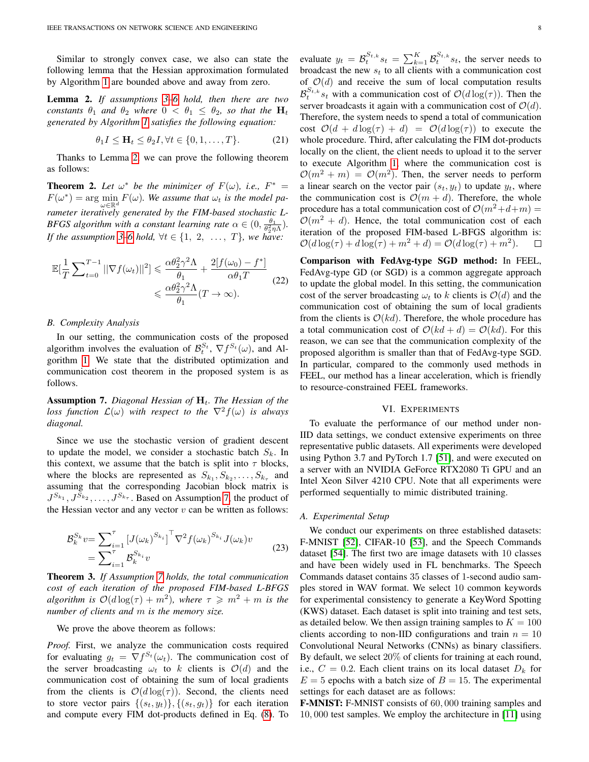Similar to strongly convex case, we also can state the following lemma that the Hessian approximation formulated by Algorithm [1](#page-5-0) are bounded above and away from zero.

<span id="page-7-1"></span>Lemma 2. *If assumptions [3–](#page-6-4)[6](#page-6-5) hold, then there are two constants*  $\theta_1$  *and*  $\theta_2$  *where*  $0 < \theta_1 \leq \theta_2$ *, so that the*  $H_t$ *generated by Algorithm [1](#page-5-0) satisfies the following equation:*

$$
\theta_1 I \le \mathbf{H}_t \le \theta_2 I, \forall t \in \{0, 1, \dots, T\}.
$$
 (21)

Thanks to Lemma [2,](#page-7-1) we can prove the following theorem as follows:

<span id="page-7-3"></span>**Theorem 2.** Let  $\omega^*$  be the minimizer of  $F(\omega)$ , i.e.,  $F^* =$  $F(\omega^*) = \arg \min_{\mathbf{z}} F(\omega)$ . We assume that  $\omega_t$  is the model pa- $\omega{\in}\mathbb{R}^d$ *rameter iteratively generated by the FIM-based stochastic L-BFGS algorithm with a constant learning rate*  $\alpha \in (0, \frac{\theta_1}{\theta_2^2 \eta \Lambda})$ *. If the assumption* [3](#page-6-4)[–6](#page-6-5) *hold,*  $\forall t \in \{1, 2, \ldots, T\}$ *, we have:* 

$$
\mathbb{E}\left[\frac{1}{T}\sum_{t=0}^{T-1}||\nabla f(\omega_t)||^2\right] \leq \frac{\alpha \theta_2^2 \gamma^2 \Lambda}{\theta_1} + \frac{2[f(\omega_0) - f^*]}{\alpha \theta_1 T} \tag{22}
$$
\n
$$
\leq \frac{\alpha \theta_2^2 \gamma^2 \Lambda}{\theta_1} (T \to \infty).
$$

## *B. Complexity Analysis*

In our setting, the communication costs of the proposed algorithm involves the evaluation of  $\mathcal{B}_t^{S_t}$ ,  $\nabla f^{S_t}(\omega)$ , and Algorithm [1.](#page-5-0) We state that the distributed optimization and communication cost theorem in the proposed system is as follows.

<span id="page-7-2"></span>Assumption 7. *Diagonal Hessian of*  $H_t$ . The Hessian of the *loss function*  $\mathcal{L}(\omega)$  *with respect to the*  $\nabla^2 f(\omega)$  *is always diagonal.*

Since we use the stochastic version of gradient descent to update the model, we consider a stochastic batch  $S_k$ . In this context, we assume that the batch is split into  $\tau$  blocks, where the blocks are represented as  $S_{k_1}, S_{k_2}, \ldots, S_{k_{\tau}}$  and assuming that the corresponding Jacobian block matrix is  $J^{S_{k_1}}, J^{S_{k_2}}, \ldots, J^{S_{k_{\tau}}}$ . Based on Assumption [7,](#page-7-2) the product of the Hessian vector and any vector  $v$  can be written as follows:

$$
\mathcal{B}_k^{S_k} v = \sum_{i=1}^{\tau} \left[ J(\omega_k)^{S_{k_i}} \right]^{\top} \nabla^2 f(\omega_k)^{S_{k_i}} J(\omega_k) v
$$
\n
$$
= \sum_{i=1}^{\tau} \mathcal{B}_k^{S_{k_i}} v
$$
\n(23)

Theorem 3. *If Assumption [7](#page-7-2) holds, the total communication cost of each iteration of the proposed FIM-based L-BFGS algorithm is*  $\mathcal{O}(d \log(\tau) + m^2)$ *, where*  $\tau \geqslant m^2 + m$  *is the number of clients and* m *is the memory size.*

We prove the above theorem as follows:

*Proof.* First, we analyze the communication costs required for evaluating  $g_t = \nabla f^{S_t}(\omega_t)$ . The communication cost of the server broadcasting  $\omega_t$  to k clients is  $\mathcal{O}(d)$  and the communication cost of obtaining the sum of local gradients from the clients is  $\mathcal{O}(d \log(\tau))$ . Second, the clients need to store vector pairs  $\{(s_t, y_t)\}, \{(s_t, g_t)\}\)$  for each iteration and compute every FIM dot-products defined in Eq. [\(8\)](#page-4-3). To

evaluate  $y_t = \mathcal{B}_t^{S_{t,k}} s_t = \sum_{k=1}^K \mathcal{B}_t^{S_{t,k}} s_t$ , the server needs to broadcast the new  $s_t$  to all clients with a communication cost of  $O(d)$  and receive the sum of local computation results  $\mathcal{B}_t^{S_{t,k}} s_t$  with a communication cost of  $\mathcal{O}(d \log(\tau))$ . Then the server broadcasts it again with a communication cost of  $\mathcal{O}(d)$ . Therefore, the system needs to spend a total of communication cost  $\mathcal{O}(d + d \log(\tau) + d) = \mathcal{O}(d \log(\tau))$  to execute the whole procedure. Third, after calculating the FIM dot-products locally on the client, the client needs to upload it to the server to execute Algorithm [1,](#page-5-0) where the communication cost is  $\mathcal{O}(m^2 + m) = \mathcal{O}(m^2)$ . Then, the server needs to perform a linear search on the vector pair  $(s_t, y_t)$  to update  $y_t$ , where the communication cost is  $\mathcal{O}(m + d)$ . Therefore, the whole procedure has a total communication cost of  $\mathcal{O}(m^2+d+m)$  =  $\mathcal{O}(m^2 + d)$ . Hence, the total communication cost of each iteration of the proposed FIM-based L-BFGS algorithm is:  $\mathcal{O}(d \log(\tau) + d \log(\tau) + m^2 + d) = \mathcal{O}(d \log(\tau) + m^2).$  $\Box$ 

Comparison with FedAvg-type SGD method: In FEEL, FedAvg-type GD (or SGD) is a common aggregate approach to update the global model. In this setting, the communication cost of the server broadcasting  $\omega_t$  to k clients is  $\mathcal{O}(d)$  and the communication cost of obtaining the sum of local gradients from the clients is  $O(kd)$ . Therefore, the whole procedure has a total communication cost of  $O(kd + d) = O(kd)$ . For this reason, we can see that the communication complexity of the proposed algorithm is smaller than that of FedAvg-type SGD. In particular, compared to the commonly used methods in FEEL, our method has a linear acceleration, which is friendly to resource-constrained FEEL frameworks.

#### VI. EXPERIMENTS

<span id="page-7-0"></span>To evaluate the performance of our method under non-IID data settings, we conduct extensive experiments on three representative public datasets. All experiments were developed using Python 3.7 and PyTorch 1.7 [\[51\]](#page-11-24), and were executed on a server with an NVIDIA GeForce RTX2080 Ti GPU and an Intel Xeon Silver 4210 CPU. Note that all experiments were performed sequentially to mimic distributed training.

#### *A. Experimental Setup*

We conduct our experiments on three established datasets: F-MNIST [\[52\]](#page-11-25), CIFAR-10 [\[53\]](#page-11-26), and the Speech Commands dataset [\[54\]](#page-11-27). The first two are image datasets with 10 classes and have been widely used in FL benchmarks. The Speech Commands dataset contains 35 classes of 1-second audio samples stored in WAV format. We select 10 common keywords for experimental consistency to generate a KeyWord Spotting (KWS) dataset. Each dataset is split into training and test sets, as detailed below. We then assign training samples to  $K = 100$ clients according to non-IID configurations and train  $n = 10$ Convolutional Neural Networks (CNNs) as binary classifiers. By default, we select 20% of clients for training at each round, i.e.,  $C = 0.2$ . Each client trains on its local dataset  $D_k$  for  $E = 5$  epochs with a batch size of  $B = 15$ . The experimental settings for each dataset are as follows:

F-MNIST: F-MNIST consists of 60, 000 training samples and 10, 000 test samples. We employ the architecture in [\[11\]](#page-10-10) using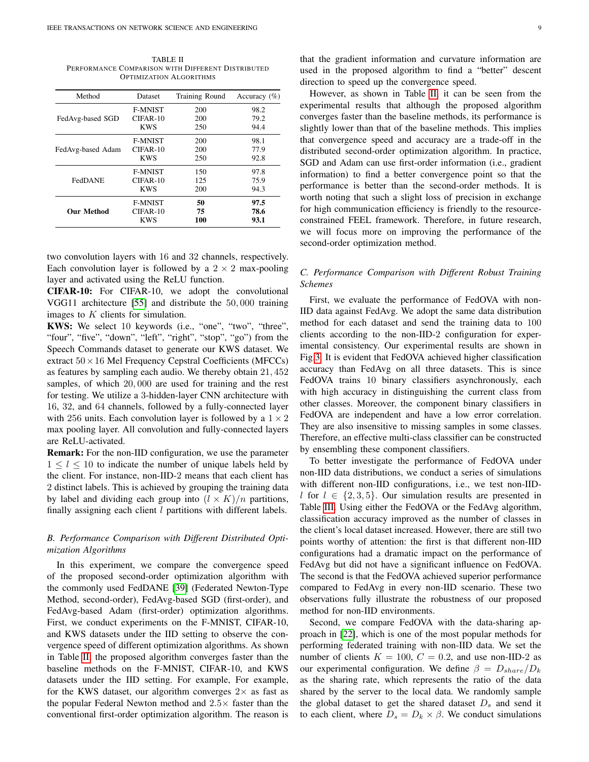<span id="page-8-0"></span>TABLE II PERFORMANCE COMPARISON WITH DIFFERENT DISTRIBUTED OPTIMIZATION ALGORITHMS

| Method            | Dataset        | Training Round | Accuracy $(\% )$ |
|-------------------|----------------|----------------|------------------|
|                   | <b>F-MNIST</b> | 200            | 98.2             |
| FedAvg-based SGD  | $CIFAR-10$     | 200            | 79.2             |
|                   | <b>KWS</b>     | 250            | 94.4             |
|                   | <b>F-MNIST</b> | 200            | 98.1             |
| FedAvg-based Adam | $CIFAR-10$     | 200            | 77.9             |
|                   | <b>KWS</b>     | 250            | 92.8             |
|                   | <b>F-MNIST</b> | 150            | 97.8             |
| FedDANE           | $CIFAR-10$     | 125            | 75.9             |
|                   | <b>KWS</b>     | 200            | 94.3             |
|                   | <b>F-MNIST</b> | 50             | 97.5             |
| <b>Our Method</b> | $CIFAR-10$     | 75             | 78.6             |
|                   | <b>KWS</b>     | 100            | 93.1             |

two convolution layers with 16 and 32 channels, respectively. Each convolution layer is followed by a  $2 \times 2$  max-pooling layer and activated using the ReLU function.

CIFAR-10: For CIFAR-10, we adopt the convolutional VGG11 architecture [\[55\]](#page-11-28) and distribute the 50, 000 training images to  $K$  clients for simulation.

KWS: We select 10 keywords (i.e., "one", "two", "three", "four", "five", "down", "left", "right", "stop", "go") from the Speech Commands dataset to generate our KWS dataset. We extract  $50 \times 16$  Mel Frequency Cepstral Coefficients (MFCCs) as features by sampling each audio. We thereby obtain 21, 452 samples, of which 20, 000 are used for training and the rest for testing. We utilize a 3-hidden-layer CNN architecture with 16, 32, and 64 channels, followed by a fully-connected layer with 256 units. Each convolution layer is followed by a  $1 \times 2$ max pooling layer. All convolution and fully-connected layers are ReLU-activated.

Remark: For the non-IID configuration, we use the parameter  $1 \leq l \leq 10$  to indicate the number of unique labels held by the client. For instance, non-IID-2 means that each client has 2 distinct labels. This is achieved by grouping the training data by label and dividing each group into  $(l \times K)/n$  partitions, finally assigning each client  $l$  partitions with different labels.

# *B. Performance Comparison with Different Distributed Optimization Algorithms*

In this experiment, we compare the convergence speed of the proposed second-order optimization algorithm with the commonly used FedDANE [\[39\]](#page-11-12) (Federated Newton-Type Method, second-order), FedAvg-based SGD (first-order), and FedAvg-based Adam (first-order) optimization algorithms. First, we conduct experiments on the F-MNIST, CIFAR-10, and KWS datasets under the IID setting to observe the convergence speed of different optimization algorithms. As shown in Table [II,](#page-8-0) the proposed algorithm converges faster than the baseline methods on the F-MNIST, CIFAR-10, and KWS datasets under the IID setting. For example, For example, for the KWS dataset, our algorithm converges  $2\times$  as fast as the popular Federal Newton method and  $2.5\times$  faster than the conventional first-order optimization algorithm. The reason is that the gradient information and curvature information are used in the proposed algorithm to find a "better" descent direction to speed up the convergence speed.

However, as shown in Table [II,](#page-8-0) it can be seen from the experimental results that although the proposed algorithm converges faster than the baseline methods, its performance is slightly lower than that of the baseline methods. This implies that convergence speed and accuracy are a trade-off in the distributed second-order optimization algorithm. In practice, SGD and Adam can use first-order information (i.e., gradient information) to find a better convergence point so that the performance is better than the second-order methods. It is worth noting that such a slight loss of precision in exchange for high communication efficiency is friendly to the resourceconstrained FEEL framework. Therefore, in future research, we will focus more on improving the performance of the second-order optimization method.

## *C. Performance Comparison with Different Robust Training Schemes*

First, we evaluate the performance of FedOVA with non-IID data against FedAvg. We adopt the same data distribution method for each dataset and send the training data to 100 clients according to the non-IID-2 configuration for experimental consistency. Our experimental results are shown in Fig[.3.](#page-9-0) It is evident that FedOVA achieved higher classification accuracy than FedAvg on all three datasets. This is since FedOVA trains 10 binary classifiers asynchronously, each with high accuracy in distinguishing the current class from other classes. Moreover, the component binary classifiers in FedOVA are independent and have a low error correlation. They are also insensitive to missing samples in some classes. Therefore, an effective multi-class classifier can be constructed by ensembling these component classifiers.

To better investigate the performance of FedOVA under non-IID data distributions, we conduct a series of simulations with different non-IID configurations, i.e., we test non-IIDl for  $l \in \{2,3,5\}$ . Our simulation results are presented in Table [III.](#page-9-1) Using either the FedOVA or the FedAvg algorithm, classification accuracy improved as the number of classes in the client's local dataset increased. However, there are still two points worthy of attention: the first is that different non-IID configurations had a dramatic impact on the performance of FedAvg but did not have a significant influence on FedOVA. The second is that the FedOVA achieved superior performance compared to FedAvg in every non-IID scenario. These two observations fully illustrate the robustness of our proposed method for non-IID environments.

Second, we compare FedOVA with the data-sharing approach in [\[22\]](#page-10-22), which is one of the most popular methods for performing federated training with non-IID data. We set the number of clients  $K = 100$ ,  $C = 0.2$ , and use non-IID-2 as our experimental configuration. We define  $\beta = D_{share}/D_k$ as the sharing rate, which represents the ratio of the data shared by the server to the local data. We randomly sample the global dataset to get the shared dataset  $D<sub>s</sub>$  and send it to each client, where  $D_s = D_k \times \beta$ . We conduct simulations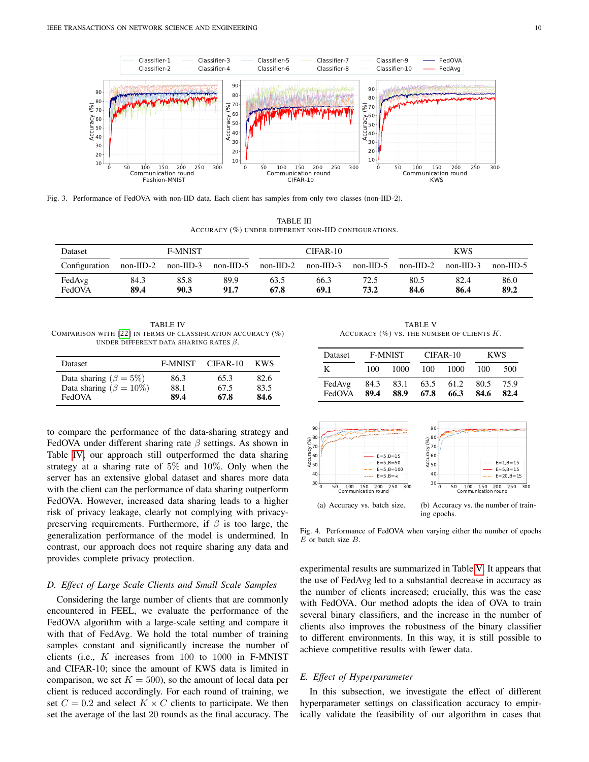

<span id="page-9-0"></span>Fig. 3. Performance of FedOVA with non-IID data. Each client has samples from only two classes (non-IID-2).

TABLE III ACCURACY (%) UNDER DIFFERENT NON-IID CONFIGURATIONS.

<span id="page-9-1"></span>

| Dataset          | F-MNIST      |              |              | CIFAR-10     |              |              | KWS          |              |              |
|------------------|--------------|--------------|--------------|--------------|--------------|--------------|--------------|--------------|--------------|
| Configuration    | non-IID-2    | $non-IID-3$  | $non-IID-5$  | $non-IID-2$  | $non-III$ -3 | $non-IID-5$  | $non-IID-2$  | $non-IID-3$  | $non-III$ -5 |
| FedAvg<br>FedOVA | 84.3<br>89.4 | 85.8<br>90.3 | 89.9<br>91.7 | 63.5<br>67.8 | 66.3<br>69.1 | 72.5<br>73.2 | 80.5<br>84.6 | 82.4<br>86.4 | 86.0<br>89.2 |

<span id="page-9-2"></span>TABLE IV COMPARISON WITH [\[22\]](#page-10-22) IN TERMS OF CLASSIFICATION ACCURACY (%) UNDER DIFFERENT DATA SHARING RATES  $\beta$ .

| <b>Dataset</b>                 | <b>F-MNIST</b> | CIFAR-10 | <b>KWS</b> |
|--------------------------------|----------------|----------|------------|
| Data sharing ( $\beta = 5\%)$  | 86.3           | 65.3     | 82.6       |
| Data sharing ( $\beta = 10\%)$ | 88.1           | 67.5     | 83.5       |
| FedOVA                         | 89.4           | 67.8     | 84.6       |

to compare the performance of the data-sharing strategy and FedOVA under different sharing rate  $\beta$  settings. As shown in Table [IV,](#page-9-2) our approach still outperformed the data sharing strategy at a sharing rate of 5% and 10%. Only when the server has an extensive global dataset and shares more data with the client can the performance of data sharing outperform FedOVA. However, increased data sharing leads to a higher risk of privacy leakage, clearly not complying with privacypreserving requirements. Furthermore, if  $\beta$  is too large, the generalization performance of the model is undermined. In contrast, our approach does not require sharing any data and provides complete privacy protection.

#### *D. Effect of Large Scale Clients and Small Scale Samples*

Considering the large number of clients that are commonly encountered in FEEL, we evaluate the performance of the FedOVA algorithm with a large-scale setting and compare it with that of FedAvg. We hold the total number of training samples constant and significantly increase the number of clients (i.e.,  $K$  increases from 100 to 1000 in F-MNIST and CIFAR-10; since the amount of KWS data is limited in comparison, we set  $K = 500$ , so the amount of local data per client is reduced accordingly. For each round of training, we set  $C = 0.2$  and select  $K \times C$  clients to participate. We then set the average of the last 20 rounds as the final accuracy. The

TABLE V ACCURACY  $(\%)$  VS. THE NUMBER OF CLIENTS  $K$ .

<span id="page-9-3"></span>

| <b>Dataset</b>   | <b>F-MNIST</b> |              |              | CIFAR-10     | <b>KWS</b>   |              |
|------------------|----------------|--------------|--------------|--------------|--------------|--------------|
| K                | 100            | 1000         | 100          | 1000         | 100          | 500          |
| FedAvg<br>FedOVA | 84.3<br>89.4   | 83.1<br>88.9 | 63.5<br>67.8 | 61.2<br>66.3 | 80.5<br>84.6 | 75.9<br>82.4 |

<span id="page-9-4"></span>

<span id="page-9-5"></span>Fig. 4. Performance of FedOVA when varying either the number of epochs  $E$  or batch size  $B$ .

experimental results are summarized in Table [V.](#page-9-3) It appears that the use of FedAvg led to a substantial decrease in accuracy as the number of clients increased; crucially, this was the case with FedOVA. Our method adopts the idea of OVA to train several binary classifiers, and the increase in the number of clients also improves the robustness of the binary classifier to different environments. In this way, it is still possible to achieve competitive results with fewer data.

#### *E. Effect of Hyperparameter*

In this subsection, we investigate the effect of different hyperparameter settings on classification accuracy to empirically validate the feasibility of our algorithm in cases that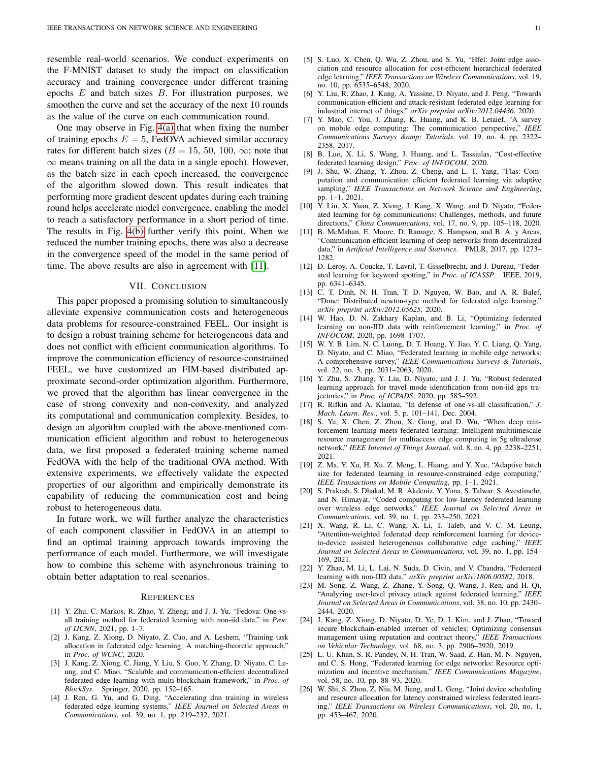resemble real-world scenarios. We conduct experiments on the F-MNIST dataset to study the impact on classification accuracy and training convergence under different training epochs  $E$  and batch sizes  $B$ . For illustration purposes, we smoothen the curve and set the accuracy of the next 10 rounds as the value of the curve on each communication round.

One may observe in Fig. [4\(a\)](#page-9-4) that when fixing the number of training epochs  $E = 5$ , FedOVA achieved similar accuracy rates for different batch sizes ( $B = 15, 50, 100, \infty$ ; note that  $\infty$  means training on all the data in a single epoch). However, as the batch size in each epoch increased, the convergence of the algorithm slowed down. This result indicates that performing more gradient descent updates during each training round helps accelerate model convergence, enabling the model to reach a satisfactory performance in a short period of time. The results in Fig. [4\(b\)](#page-9-5) further verify this point. When we reduced the number training epochs, there was also a decrease in the convergence speed of the model in the same period of time. The above results are also in agreement with [\[11\]](#page-10-10).

#### VII. CONCLUSION

<span id="page-10-16"></span>This paper proposed a promising solution to simultaneously alleviate expensive communication costs and heterogeneous data problems for resource-constrained FEEL. Our insight is to design a robust training scheme for heterogeneous data and does not conflict with efficient communication algorithms. To improve the communication efficiency of resource-constrained FEEL, we have customized an FIM-based distributed approximate second-order optimization algorithm. Furthermore, we proved that the algorithm has linear convergence in the case of strong convexity and non-convexity, and analyzed its computational and communication complexity. Besides, to design an algorithm coupled with the above-mentioned communication efficient algorithm and robust to heterogeneous data, we first proposed a federated training scheme named FedOVA with the help of the traditional OVA method. With extensive experiments, we effectively validate the expected properties of our algorithm and empirically demonstrate its capability of reducing the communication cost and being robust to heterogeneous data.

In future work, we will further analyze the characteristics of each component classifier in FedOVA in an attempt to find an optimal training approach towards improving the performance of each model. Furthermore, we will investigate how to combine this scheme with asynchronous training to obtain better adaptation to real scenarios.

#### **REFERENCES**

- <span id="page-10-1"></span>[1] Y. Zhu, C. Markos, R. Zhao, Y. Zheng, and J. J. Yu, "Fedova: One-vsall training method for federated learning with non-iid data," in *Proc. of IJCNN*, 2021, pp. 1–7.
- <span id="page-10-0"></span>[2] J. Kang, Z. Xiong, D. Niyato, Z. Cao, and A. Leshem, "Training task allocation in federated edge learning: A matching-theoretic approach," in *Proc. of WCNC*, 2020.
- <span id="page-10-2"></span>[3] J. Kang, Z. Xiong, C. Jiang, Y. Liu, S. Guo, Y. Zhang, D. Niyato, C. Leung, and C. Miao, "Scalable and communication-efficient decentralized federated edge learning with multi-blockchain framework," in *Proc. of BlockSys*. Springer, 2020, pp. 152–165.
- <span id="page-10-3"></span>[4] J. Ren, G. Yu, and G. Ding, "Accelerating dnn training in wireless federated edge learning systems," *IEEE Journal on Selected Areas in Communications*, vol. 39, no. 1, pp. 219–232, 2021.
- <span id="page-10-4"></span>[5] S. Luo, X. Chen, Q. Wu, Z. Zhou, and S. Yu, "Hfel: Joint edge association and resource allocation for cost-efficient hierarchical federated edge learning," *IEEE Transactions on Wireless Communications*, vol. 19, no. 10, pp. 6535–6548, 2020.
- <span id="page-10-5"></span>[6] Y. Liu, R. Zhao, J. Kang, A. Yassine, D. Niyato, and J. Peng, "Towards communication-efficient and attack-resistant federated edge learning for industrial internet of things," *arXiv preprint arXiv:2012.04436*, 2020.
- <span id="page-10-6"></span>[7] Y. Mao, C. You, J. Zhang, K. Huang, and K. B. Letaief, "A survey on mobile edge computing: The communication perspective," *IEEE* Communications Surveys & amp; Tutorials, vol. 19, no. 4, pp. 2322-2358, 2017.
- <span id="page-10-7"></span>[8] B. Luo, X. Li, S. Wang, J. Huang, and L. Tassiulas, "Cost-effective federated learning design," *Proc. of INFOCOM*, 2020.
- <span id="page-10-8"></span>[9] J. Shu, W. Zhang, Y. Zhou, Z. Cheng, and L. T. Yang, "Flas: Computation and communication efficient federated learning via adaptive sampling," *IEEE Transactions on Network Science and Engineering*, pp. 1–1, 2021.
- <span id="page-10-9"></span>[10] Y. Liu, X. Yuan, Z. Xiong, J. Kang, X. Wang, and D. Niyato, "Federated learning for 6g communications: Challenges, methods, and future directions," *China Communications*, vol. 17, no. 9, pp. 105–118, 2020.
- <span id="page-10-10"></span>[11] B. McMahan, E. Moore, D. Ramage, S. Hampson, and B. A. y Arcas, "Communication-efficient learning of deep networks from decentralized data," in *Artificial Intelligence and Statistics*. PMLR, 2017, pp. 1273– 1282.
- <span id="page-10-11"></span>[12] D. Leroy, A. Coucke, T. Lavril, T. Gisselbrecht, and J. Dureau, "Federated learning for keyword spotting," in *Proc. of ICASSP*. IEEE, 2019, pp. 6341–6345.
- <span id="page-10-12"></span>[13] C. T. Dinh, N. H. Tran, T. D. Nguyen, W. Bao, and A. R. Balef, "Done: Distributed newton-type method for federated edge learning," *arXiv preprint arXiv:2012.05625*, 2020.
- <span id="page-10-13"></span>[14] W. Hao, D. N. Zakhary Kaplan, and B. Li, "Optimizing federated learning on non-IID data with reinforcement learning," in *Proc. of INFOCOM*, 2020, pp. 1698–1707.
- <span id="page-10-17"></span>[15] W. Y. B. Lim, N. C. Luong, D. T. Hoang, Y. Jiao, Y. C. Liang, Q. Yang, D. Niyato, and C. Miao, "Federated learning in mobile edge networks: A comprehensive survey," *IEEE Communications Surveys & Tutorials*, vol. 22, no. 3, pp. 2031–2063, 2020.
- <span id="page-10-14"></span>[16] Y. Zhu, S. Zhang, Y. Liu, D. Niyato, and J. J. Yu, "Robust federated learning approach for travel mode identification from non-iid gps trajectories," in *Proc. of ICPADS*, 2020, pp. 585–592.
- <span id="page-10-15"></span>[17] R. Rifkin and A. Klautau, "In defense of one-vs-all classification," *J. Mach. Learn. Res.*, vol. 5, p. 101–141, Dec. 2004.
- <span id="page-10-18"></span>[18] S. Yu, X. Chen, Z. Zhou, X. Gong, and D. Wu, "When deep reinforcement learning meets federated learning: Intelligent multitimescale resource management for multiaccess edge computing in 5g ultradense network," *IEEE Internet of Things Journal*, vol. 8, no. 4, pp. 2238–2251, 2021.
- <span id="page-10-19"></span>[19] Z. Ma, Y. Xu, H. Xu, Z. Meng, L. Huang, and Y. Xue, "Adaptive batch size for federated learning in resource-constrained edge computing," *IEEE Transactions on Mobile Computing*, pp. 1–1, 2021.
- <span id="page-10-20"></span>[20] S. Prakash, S. Dhakal, M. R. Akdeniz, Y. Yona, S. Talwar, S. Avestimehr, and N. Himayat, "Coded computing for low-latency federated learning over wireless edge networks," *IEEE Journal on Selected Areas in Communications*, vol. 39, no. 1, pp. 233–250, 2021.
- <span id="page-10-21"></span>[21] X. Wang, R. Li, C. Wang, X. Li, T. Taleb, and V. C. M. Leung, "Attention-weighted federated deep reinforcement learning for deviceto-device assisted heterogeneous collaborative edge caching," *IEEE Journal on Selected Areas in Communications*, vol. 39, no. 1, pp. 154– 169, 2021.
- <span id="page-10-22"></span>[22] Y. Zhao, M. Li, L. Lai, N. Suda, D. Civin, and V. Chandra, "Federated learning with non-IID data," *arXiv preprint arXiv:1806.00582*, 2018.
- <span id="page-10-23"></span>[23] M. Song, Z. Wang, Z. Zhang, Y. Song, Q. Wang, J. Ren, and H. Qi, "Analyzing user-level privacy attack against federated learning," *IEEE Journal on Selected Areas in Communications*, vol. 38, no. 10, pp. 2430– 2444, 2020.
- <span id="page-10-24"></span>[24] J. Kang, Z. Xiong, D. Niyato, D. Ye, D. I. Kim, and J. Zhao, "Toward secure blockchain-enabled internet of vehicles: Optimizing consensus management using reputation and contract theory," *IEEE Transactions on Vehicular Technology*, vol. 68, no. 3, pp. 2906–2920, 2019.
- <span id="page-10-25"></span>[25] L. U. Khan, S. R. Pandey, N. H. Tran, W. Saad, Z. Han, M. N. Nguyen, and C. S. Hong, "Federated learning for edge networks: Resource optimization and incentive mechanism," *IEEE Communications Magazine*, vol. 58, no. 10, pp. 88–93, 2020.
- <span id="page-10-26"></span>[26] W. Shi, S. Zhou, Z. Niu, M. Jiang, and L. Geng, "Joint device scheduling and resource allocation for latency constrained wireless federated learning," *IEEE Transactions on Wireless Communications*, vol. 20, no. 1, pp. 453–467, 2020.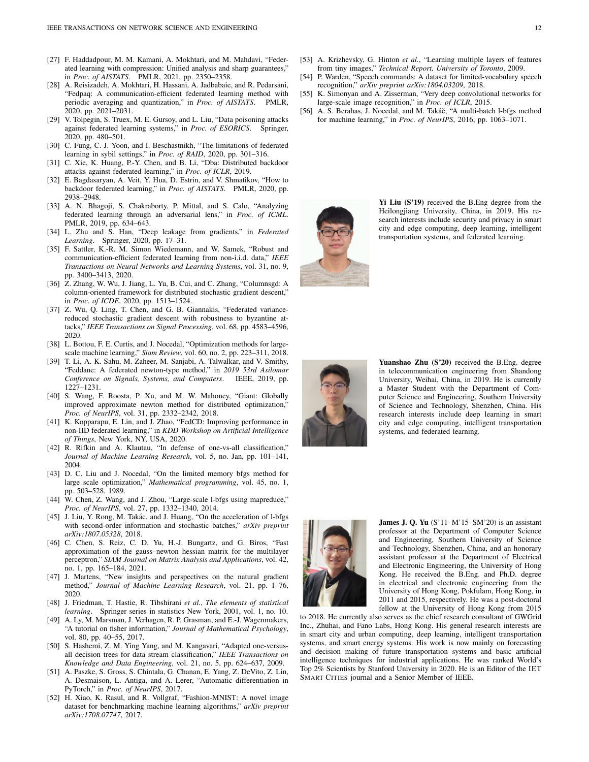- <span id="page-11-0"></span>[27] F. Haddadpour, M. M. Kamani, A. Mokhtari, and M. Mahdavi, "Federated learning with compression: Unified analysis and sharp guarantees," in *Proc. of AISTATS*. PMLR, 2021, pp. 2350–2358.
- <span id="page-11-1"></span>[28] A. Reisizadeh, A. Mokhtari, H. Hassani, A. Jadbabaie, and R. Pedarsani, "Fedpaq: A communication-efficient federated learning method with periodic averaging and quantization," in *Proc. of AISTATS*. PMLR, 2020, pp. 2021–2031.
- <span id="page-11-2"></span>[29] V. Tolpegin, S. Truex, M. E. Gursoy, and L. Liu, "Data poisoning attacks against federated learning systems," in *Proc. of ESORICS*. Springer, 2020, pp. 480–501.
- <span id="page-11-3"></span>[30] C. Fung, C. J. Yoon, and I. Beschastnikh, "The limitations of federated learning in sybil settings," in *Proc. of RAID*, 2020, pp. 301–316.
- <span id="page-11-4"></span>[31] C. Xie, K. Huang, P.-Y. Chen, and B. Li, "Dba: Distributed backdoor attacks against federated learning," in *Proc. of ICLR*, 2019.
- <span id="page-11-5"></span>[32] E. Bagdasaryan, A. Veit, Y. Hua, D. Estrin, and V. Shmatikov, "How to backdoor federated learning," in *Proc. of AISTATS*. PMLR, 2020, pp. 2938–2948.
- <span id="page-11-6"></span>[33] A. N. Bhagoji, S. Chakraborty, P. Mittal, and S. Calo, "Analyzing federated learning through an adversarial lens," in *Proc. of ICML*. PMLR, 2019, pp. 634–643.
- <span id="page-11-7"></span>[34] L. Zhu and S. Han, "Deep leakage from gradients," in *Federated Learning*. Springer, 2020, pp. 17–31.
- <span id="page-11-8"></span>[35] F. Sattler, K.-R. M. Simon Wiedemann, and W. Samek, "Robust and communication-efficient federated learning from non-i.i.d. data," *IEEE Transactions on Neural Networks and Learning Systems*, vol. 31, no. 9, pp. 3400–3413, 2020.
- <span id="page-11-9"></span>[36] Z. Zhang, W. Wu, J. Jiang, L. Yu, B. Cui, and C. Zhang, "Columnsgd: A column-oriented framework for distributed stochastic gradient descent," in *Proc. of ICDE*, 2020, pp. 1513–1524.
- <span id="page-11-10"></span>[37] Z. Wu, Q. Ling, T. Chen, and G. B. Giannakis, "Federated variancereduced stochastic gradient descent with robustness to byzantine attacks," *IEEE Transactions on Signal Processing*, vol. 68, pp. 4583–4596, 2020.
- <span id="page-11-11"></span>[38] L. Bottou, F. E. Curtis, and J. Nocedal, "Optimization methods for largescale machine learning," *Siam Review*, vol. 60, no. 2, pp. 223–311, 2018.
- <span id="page-11-12"></span>[39] T. Li, A. K. Sahu, M. Zaheer, M. Sanjabi, A. Talwalkar, and V. Smithy, "Feddane: A federated newton-type method," in *2019 53rd Asilomar Conference on Signals, Systems, and Computers*. IEEE, 2019, pp. 1227–1231.
- <span id="page-11-13"></span>[40] S. Wang, F. Roosta, P. Xu, and M. W. Mahoney, "Giant: Globally improved approximate newton method for distributed optimization," *Proc. of NeurIPS*, vol. 31, pp. 2332–2342, 2018.
- <span id="page-11-14"></span>[41] K. Kopparapu, E. Lin, and J. Zhao, "FedCD: Improving performance in non-IID federated learning," in *KDD Workshop on Artificial Intelligence of Things*, New York, NY, USA, 2020.
- <span id="page-11-15"></span>[42] R. Rifkin and A. Klautau, "In defense of one-vs-all classification," *Journal of Machine Learning Research*, vol. 5, no. Jan, pp. 101–141, 2004.
- <span id="page-11-16"></span>[43] D. C. Liu and J. Nocedal, "On the limited memory bfgs method for large scale optimization," *Mathematical programming*, vol. 45, no. 1, pp. 503–528, 1989.
- <span id="page-11-17"></span>[44] W. Chen, Z. Wang, and J. Zhou, "Large-scale l-bfgs using mapreduce," *Proc. of NeurIPS*, vol. 27, pp. 1332–1340, 2014.
- <span id="page-11-18"></span>[45] J. Liu, Y. Rong, M. Takác, and J. Huang, "On the acceleration of l-bfgs with second-order information and stochastic batches," *arXiv preprint arXiv:1807.05328*, 2018.
- <span id="page-11-19"></span>[46] C. Chen, S. Reiz, C. D. Yu, H.-J. Bungartz, and G. Biros, "Fast approximation of the gauss–newton hessian matrix for the multilayer perceptron," *SIAM Journal on Matrix Analysis and Applications*, vol. 42, no. 1, pp. 165–184, 2021.
- <span id="page-11-20"></span>[47] J. Martens, "New insights and perspectives on the natural gradient method," *Journal of Machine Learning Research*, vol. 21, pp. 1–76, 2020.
- <span id="page-11-21"></span>[48] J. Friedman, T. Hastie, R. Tibshirani *et al.*, *The elements of statistical learning*. Springer series in statistics New York, 2001, vol. 1, no. 10.
- <span id="page-11-22"></span>[49] A. Ly, M. Marsman, J. Verhagen, R. P. Grasman, and E.-J. Wagenmakers, "A tutorial on fisher information," *Journal of Mathematical Psychology*, vol. 80, pp. 40–55, 2017.
- <span id="page-11-23"></span>[50] S. Hashemi, Z. M. Ying Yang, and M. Kangavari, "Adapted one-versusall decision trees for data stream classification," *IEEE Transactions on Knowledge and Data Engineering*, vol. 21, no. 5, pp. 624–637, 2009.
- <span id="page-11-24"></span>[51] A. Paszke, S. Gross, S. Chintala, G. Chanan, E. Yang, Z. DeVito, Z. Lin, A. Desmaison, L. Antiga, and A. Lerer, "Automatic differentiation in PyTorch," in *Proc. of NeurIPS*, 2017.
- <span id="page-11-25"></span>[52] H. Xiao, K. Rasul, and R. Vollgraf, "Fashion-MNIST: A novel image dataset for benchmarking machine learning algorithms," *arXiv preprint arXiv:1708.07747*, 2017.
- <span id="page-11-26"></span>[53] A. Krizhevsky, G. Hinton *et al.*, "Learning multiple layers of features from tiny images," *Technical Report, University of Toronto*, 2009.
- <span id="page-11-27"></span>[54] P. Warden, "Speech commands: A dataset for limited-vocabulary speech recognition," *arXiv preprint arXiv:1804.03209*, 2018.
- <span id="page-11-28"></span>[55] K. Simonyan and A. Zisserman, "Very deep convolutional networks for large-scale image recognition," in *Proc. of ICLR*, 2015.
- <span id="page-11-29"></span>[56] A. S. Berahas, J. Nocedal, and M. Takáč, "A multi-batch l-bfgs method for machine learning," in *Proc. of NeurIPS*, 2016, pp. 1063–1071.



Yi Liu (S'19) received the B.Eng degree from the Heilongjiang University, China, in 2019. His research interests include security and privacy in smart city and edge computing, deep learning, intelligent transportation systems, and federated learning.



Yuanshao Zhu (S'20) received the B.Eng. degree in telecommunication engineering from Shandong University, Weihai, China, in 2019. He is currently a Master Student with the Department of Computer Science and Engineering, Southern University of Science and Technology, Shenzhen, China. His research interests include deep learning in smart city and edge computing, intelligent transportation systems, and federated learning.



James J. Q. Yu (S'11–M'15–SM'20) is an assistant professor at the Department of Computer Science and Engineering, Southern University of Science and Technology, Shenzhen, China, and an honorary assistant professor at the Department of Electrical and Electronic Engineering, the University of Hong Kong. He received the B.Eng. and Ph.D. degree in electrical and electronic engineering from the University of Hong Kong, Pokfulam, Hong Kong, in 2011 and 2015, respectively. He was a post-doctoral fellow at the University of Hong Kong from 2015

to 2018. He currently also serves as the chief research consultant of GWGrid Inc., Zhuhai, and Fano Labs, Hong Kong. His general research interests are in smart city and urban computing, deep learning, intelligent transportation systems, and smart energy systems. His work is now mainly on forecasting and decision making of future transportation systems and basic artificial intelligence techniques for industrial applications. He was ranked World's Top 2% Scientists by Stanford University in 2020. He is an Editor of the IET SMART CITIES journal and a Senior Member of IEEE.